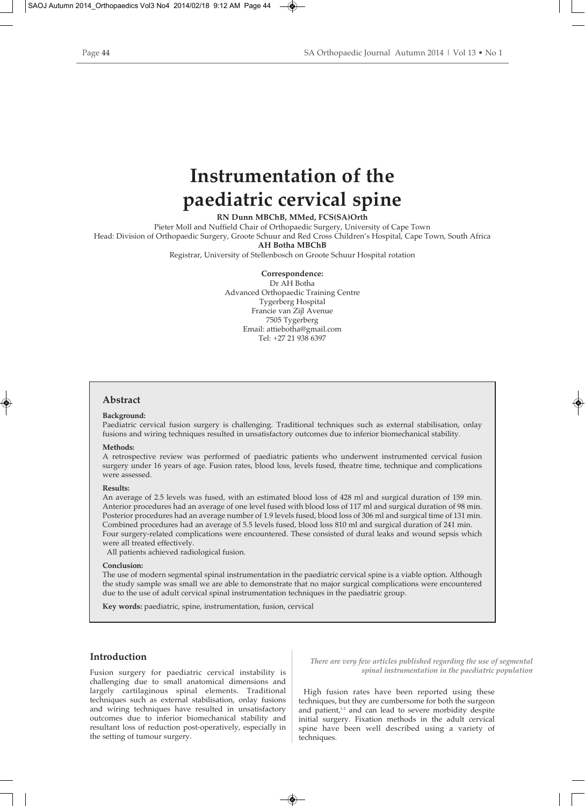# **Instrumentation of the paediatric cervical spine**

**RN Dunn MBChB, MMed, FCS(SA)Orth**

Pieter Moll and Nuffield Chair of Orthopaedic Surgery, University of Cape Town Head: Division of Orthopaedic Surgery, Groote Schuur and Red Cross Children's Hospital, Cape Town, South Africa **AH Botha MBChB**

Registrar, University of Stellenbosch on Groote Schuur Hospital rotation

**Correspondence:**

Dr AH Botha Advanced Orthopaedic Training Centre Tygerberg Hospital Francie van Zijl Avenue 7505 Tygerberg Email: attiebotha@gmail.com Tel: +27 21 938 6397

# **Abstract**

## **Background:**

Paediatric cervical fusion surgery is challenging. Traditional techniques such as external stabilisation, onlay fusions and wiring techniques resulted in unsatisfactory outcomes due to inferior biomechanical stability.

## **Methods:**

A retrospective review was performed of paediatric patients who underwent instrumented cervical fusion surgery under 16 years of age. Fusion rates, blood loss, levels fused, theatre time, technique and complications were assessed.

#### **Results:**

An average of 2.5 levels was fused, with an estimated blood loss of 428 ml and surgical duration of 159 min. Anterior procedures had an average of one level fused with blood loss of 117 ml and surgical duration of 98 min. Posterior procedures had an average number of 1.9 levels fused, blood loss of 306 ml and surgical time of 131 min. Combined procedures had an average of 5.5 levels fused, blood loss 810 ml and surgical duration of 241 min. Four surgery-related complications were encountered. These consisted of dural leaks and wound sepsis which were all treated effectively.

All patients achieved radiological fusion.

### **Conclusion:**

The use of modern segmental spinal instrumentation in the paediatric cervical spine is a viable option. Although the study sample was small we are able to demonstrate that no major surgical complications were encountered due to the use of adult cervical spinal instrumentation techniques in the paediatric group.

**Key words:** paediatric, spine, instrumentation, fusion, cervical

# **Introduction**

Fusion surgery for paediatric cervical instability is challenging due to small anatomical dimensions and largely cartilaginous spinal elements. Traditional techniques such as external stabilisation, onlay fusions and wiring techniques have resulted in unsatisfactory outcomes due to inferior biomechanical stability and resultant loss of reduction post-operatively, especially in the setting of tumour surgery.

*There are very few articles published regarding the use of segmental spinal instrumentation in the paediatric population*

High fusion rates have been reported using these techniques, but they are cumbersome for both the surgeon and patient,<sup>1-2</sup> and can lead to severe morbidity despite initial surgery. Fixation methods in the adult cervical spine have been well described using a variety of techniques.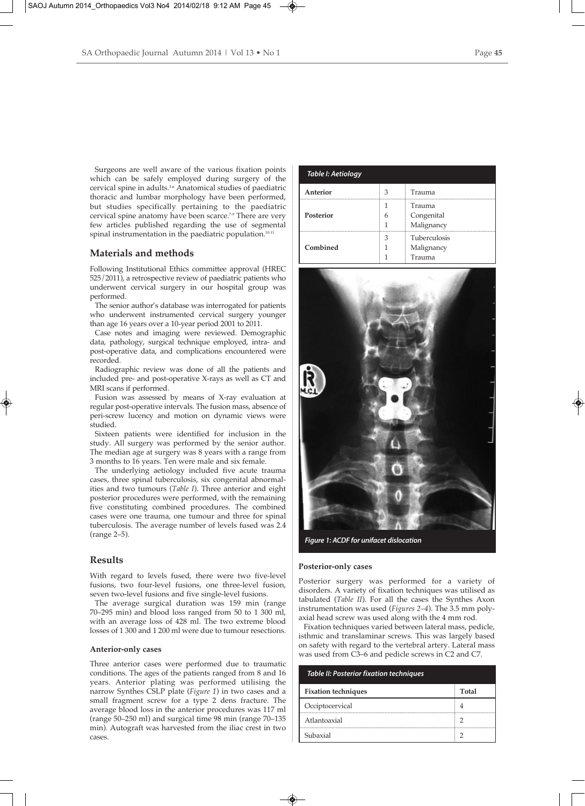Surgeons are well aware of the various fixation points which can be safely employed during surgery of the cervical spine in adults.3-6 Anatomical studies of paediatric thoracic and lumbar morphology have been performed, but studies specifically pertaining to the paediatric cervical spine anatomy have been scarce.<sup>7.9</sup> There are very few articles published regarding the use of segmental spinal instrumentation in the paediatric population.<sup>10-11</sup>

# **Materials and methods**

Following Institutional Ethics committee approval (HREC 525/2011), a retrospective review of paediatric patients who underwent cervical surgery in our hospital group was performed.

The senior author's database was interrogated for patients who underwent instrumented cervical surgery younger than age 16 years over a 10-year period 2001 to 2011.

Case notes and imaging were reviewed. Demographic data, pathology, surgical technique employed, intra- and post-operative data, and complications encountered were recorded.

Radiographic review was done of all the patients and included pre- and post-operative X-rays as well as CT and MRI scans if performed.

Fusion was assessed by means of X-ray evaluation at regular post-operative intervals. The fusion mass, absence of peri-screw lucency and motion on dynamic views were studied.

Sixteen patients were identified for inclusion in the study. All surgery was performed by the senior author. The median age at surgery was 8 years with a range from 3 months to 16 years. Ten were male and six female.

The underlying aetiology included five acute trauma cases, three spinal tuberculosis, six congenital abnormalities and two tumours (*Table I*). Three anterior and eight posterior procedures were performed, with the remaining five constituting combined procedures. The combined cases were one trauma, one tumour and three for spinal tuberculosis. The average number of levels fused was 2.4 (range 2–5).

# **Results**

With regard to levels fused, there were two five-level fusions, two four-level fusions, one three-level fusion, seven two-level fusions and five single-level fusions.

The average surgical duration was 159 min (range 70–295 min) and blood loss ranged from 50 to 1 300 ml, with an average loss of 428 ml. The two extreme blood losses of 1 300 and 1 200 ml were due to tumour resections.

## **Anterior-only cases**

Three anterior cases were performed due to traumatic conditions. The ages of the patients ranged from 8 and 16 years. Anterior plating was performed utilising the narrow Synthes CSLP plate (*Figure 1*) in two cases and a small fragment screw for a type 2 dens fracture. The average blood loss in the anterior procedures was 117 ml (range 50–250 ml) and surgical time 98 min (range 70–135 min). Autograft was harvested from the iliac crest in two cases.

| Table I: Aetiology |        |                                             |
|--------------------|--------|---------------------------------------------|
| Anterior           | З<br>. | Trauma                                      |
| <b>Posterior</b>   | h      | Trauma<br>Congenital<br>Malignancy          |
| Combined           |        | <b>Tuberculosis</b><br>Malignancy<br>Trauma |



*Figure 1: ACDF for unifacet dislocation*

## **Posterior-only cases**

Posterior surgery was performed for a variety of disorders. A variety of fixation techniques was utilised as tabulated (*Table II*). For all the cases the Synthes Axon instrumentation was used (*Figures 2–4*). The 3.5 mm polyaxial head screw was used along with the 4 mm rod.

Fixation techniques varied between lateral mass, pedicle, isthmic and translaminar screws. This was largely based on safety with regard to the vertebral artery. Lateral mass was used from C3–6 and pedicle screws in C2 and C7.

| <b>Table II: Posterior fixation techniques</b> |       |  |
|------------------------------------------------|-------|--|
| <b>Fixation techniques</b>                     | Total |  |
| Occiptocervical                                |       |  |
| Atlantoaxial                                   |       |  |
| Subaxial                                       |       |  |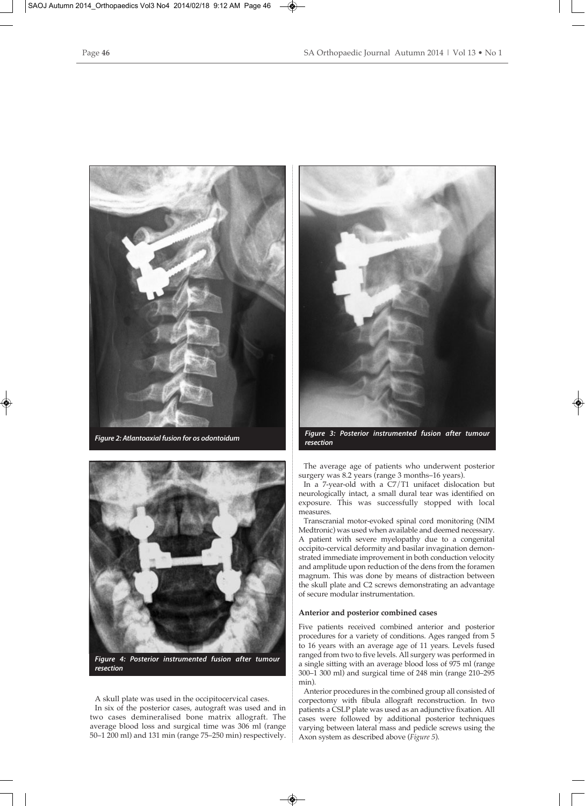



*Figure 4: Posterior instrumented fusion after tumour resection*

A skull plate was used in the occipitocervical cases. In six of the posterior cases, autograft was used and in two cases demineralised bone matrix allograft. The average blood loss and surgical time was 306 ml (range 50–1 200 ml) and 131 min (range 75–250 min) respectively.



*Figure 2: Atlantoaxial fusion for os odontoidum Figure 3: Posterior instrumented fusion after tumour resection*

The average age of patients who underwent posterior surgery was 8.2 years (range 3 months–16 years).

In a 7-year-old with a C7/T1 unifacet dislocation but neurologically intact, a small dural tear was identified on exposure. This was successfully stopped with local measures.

Transcranial motor-evoked spinal cord monitoring (NIM Medtronic) was used when available and deemed necessary. A patient with severe myelopathy due to a congenital occipito-cervical deformity and basilar invagination demonstrated immediate improvement in both conduction velocity and amplitude upon reduction of the dens from the foramen magnum. This was done by means of distraction between the skull plate and C2 screws demonstrating an advantage of secure modular instrumentation.

## **Anterior and posterior combined cases**

Five patients received combined anterior and posterior procedures for a variety of conditions. Ages ranged from 5 to 16 years with an average age of 11 years. Levels fused ranged from two to five levels. All surgery was performed in a single sitting with an average blood loss of 975 ml (range 300–1 300 ml) and surgical time of 248 min (range 210–295 min).

Anterior procedures in the combined group all consisted of corpectomy with fibula allograft reconstruction. In two patients a CSLP plate was used as an adjunctive fixation. All cases were followed by additional posterior techniques varying between lateral mass and pedicle screws using the Axon system as described above (*Figure 5*).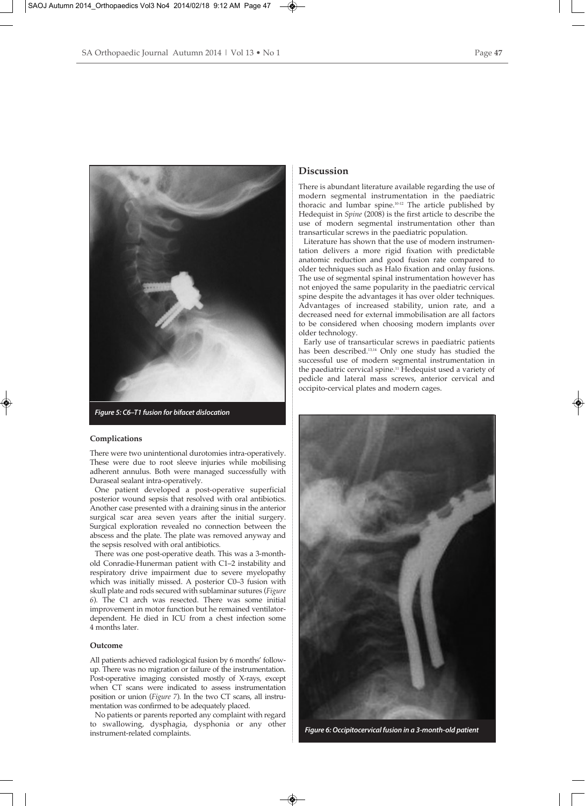

*Figure 5: C6–T1 fusion for bifacet dislocation*

## **Complications**

There were two unintentional durotomies intra-operatively. These were due to root sleeve injuries while mobilising adherent annulus. Both were managed successfully with Duraseal sealant intra-operatively.

One patient developed a post-operative superficial posterior wound sepsis that resolved with oral antibiotics. Another case presented with a draining sinus in the anterior surgical scar area seven years after the initial surgery. Surgical exploration revealed no connection between the abscess and the plate. The plate was removed anyway and the sepsis resolved with oral antibiotics.

There was one post-operative death. This was a 3-monthold Conradie-Hunerman patient with C1–2 instability and respiratory drive impairment due to severe myelopathy which was initially missed. A posterior C0–3 fusion with skull plate and rods secured with sublaminar sutures (*Figure 6*). The C1 arch was resected. There was some initial improvement in motor function but he remained ventilatordependent. He died in ICU from a chest infection some 4 months later.

## **Outcome**

All patients achieved radiological fusion by 6 months' followup. There was no migration or failure of the instrumentation. Post-operative imaging consisted mostly of X-rays, except when CT scans were indicated to assess instrumentation position or union (*Figure 7*). In the two CT scans, all instrumentation was confirmed to be adequately placed.

No patients or parents reported any complaint with regard to swallowing, dysphagia, dysphonia or any other instrument-related complaints.

# **Discussion**

There is abundant literature available regarding the use of modern segmental instrumentation in the paediatric thoracic and lumbar spine.10-12 The article published by Hedequist in *Spine* (2008) is the first article to describe the use of modern segmental instrumentation other than transarticular screws in the paediatric population.

Literature has shown that the use of modern instrumentation delivers a more rigid fixation with predictable anatomic reduction and good fusion rate compared to older techniques such as Halo fixation and onlay fusions. The use of segmental spinal instrumentation however has not enjoyed the same popularity in the paediatric cervical spine despite the advantages it has over older techniques. Advantages of increased stability, union rate, and a decreased need for external immobilisation are all factors to be considered when choosing modern implants over older technology.

Early use of transarticular screws in paediatric patients has been described.<sup>13,14</sup> Only one study has studied the successful use of modern segmental instrumentation in the paediatric cervical spine.<sup>11</sup> Hedequist used a variety of pedicle and lateral mass screws, anterior cervical and occipito-cervical plates and modern cages.



*Figure 6: Occipitocervical fusion in a 3-month-old patient*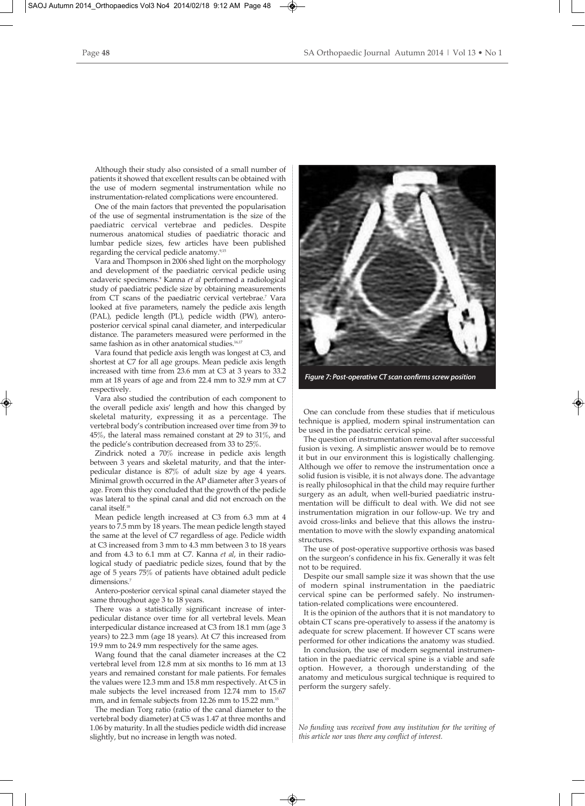Although their study also consisted of a small number of patients it showed that excellent results can be obtained with the use of modern segmental instrumentation while no instrumentation-related complications were encountered.

One of the main factors that prevented the popularisation of the use of segmental instrumentation is the size of the paediatric cervical vertebrae and pedicles. Despite numerous anatomical studies of paediatric thoracic and lumbar pedicle sizes, few articles have been published regarding the cervical pedicle anatomy.<sup>9,15</sup>

Vara and Thompson in 2006 shed light on the morphology and development of the paediatric cervical pedicle using cadaveric specimens.9 Kanna *et al* performed a radiological study of paediatric pedicle size by obtaining measurements from CT scans of the paediatric cervical vertebrae.<sup>7</sup> Vara looked at five parameters, namely the pedicle axis length (PAL), pedicle length (PL), pedicle width (PW), anteroposterior cervical spinal canal diameter, and interpedicular distance. The parameters measured were performed in the same fashion as in other anatomical studies.<sup>16,17</sup>

Vara found that pedicle axis length was longest at C3, and shortest at C7 for all age groups. Mean pedicle axis length increased with time from 23.6 mm at C3 at 3 years to 33.2 mm at 18 years of age and from 22.4 mm to 32.9 mm at C7 respectively.

Vara also studied the contribution of each component to the overall pedicle axis' length and how this changed by skeletal maturity, expressing it as a percentage. The vertebral body's contribution increased over time from 39 to 45%, the lateral mass remained constant at 29 to 31%, and the pedicle's contribution decreased from 33 to 25%.

Zindrick noted a 70% increase in pedicle axis length between 3 years and skeletal maturity, and that the interpedicular distance is 87% of adult size by age 4 years. Minimal growth occurred in the AP diameter after 3 years of age. From this they concluded that the growth of the pedicle was lateral to the spinal canal and did not encroach on the canal itself.18

Mean pedicle length increased at C3 from 6.3 mm at 4 years to 7.5 mm by 18 years. The mean pedicle length stayed the same at the level of C7 regardless of age. Pedicle width at C3 increased from 3 mm to 4.3 mm between 3 to 18 years and from 4.3 to 6.1 mm at C7. Kanna *et al*, in their radiological study of paediatric pedicle sizes, found that by the age of 5 years 75% of patients have obtained adult pedicle dimensions.<sup>7</sup>

Antero-posterior cervical spinal canal diameter stayed the same throughout age 3 to 18 years.

There was a statistically significant increase of interpedicular distance over time for all vertebral levels. Mean interpedicular distance increased at C3 from 18.1 mm (age 3 years) to 22.3 mm (age 18 years). At C7 this increased from 19.9 mm to 24.9 mm respectively for the same ages.

Wang found that the canal diameter increases at the C2 vertebral level from 12.8 mm at six months to 16 mm at 13 years and remained constant for male patients. For females the values were 12.3 mm and 15.8 mm respectively. At C5 in male subjects the level increased from 12.74 mm to 15.67 mm, and in female subjects from 12.26 mm to 15.22 mm.<sup>15</sup>

The median Torg ratio (ratio of the canal diameter to the vertebral body diameter) at C5 was 1.47 at three months and 1.06 by maturity. In all the studies pedicle width did increase slightly, but no increase in length was noted.



*Figure 7: Post-operative CT scan confirms screw position*

One can conclude from these studies that if meticulous technique is applied, modern spinal instrumentation can be used in the paediatric cervical spine.

The question of instrumentation removal after successful fusion is vexing. A simplistic answer would be to remove it but in our environment this is logistically challenging. Although we offer to remove the instrumentation once a solid fusion is visible, it is not always done. The advantage is really philosophical in that the child may require further surgery as an adult, when well-buried paediatric instrumentation will be difficult to deal with. We did not see instrumentation migration in our follow-up. We try and avoid cross-links and believe that this allows the instrumentation to move with the slowly expanding anatomical structures.

The use of post-operative supportive orthosis was based on the surgeon's confidence in his fix. Generally it was felt not to be required.

Despite our small sample size it was shown that the use of modern spinal instrumentation in the paediatric cervical spine can be performed safely. No instrumentation-related complications were encountered.

It is the opinion of the authors that it is not mandatory to obtain CT scans pre-operatively to assess if the anatomy is adequate for screw placement. If however CT scans were performed for other indications the anatomy was studied.

In conclusion, the use of modern segmental instrumentation in the paediatric cervical spine is a viable and safe option. However, a thorough understanding of the anatomy and meticulous surgical technique is required to perform the surgery safely.

*No funding was received from any institution for the writing of this article nor was there any conflict of interest.*